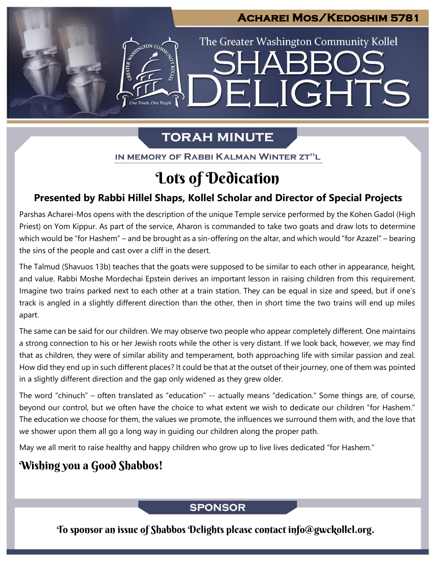## **Acharei Mos/Kedoshim 5781**

ELIGHTS

The Greater Washington Community Kollel

# **TORAH MINUTE**

IN MEMORY OF RABBI KALMAN WINTER ZT"L

# Lots of Dedication

### **Presented by Rabbi Hillel Shaps, Kollel Scholar and Director of Special Projects**

Parshas Acharei-Mos opens with the description of the unique Temple service performed by the Kohen Gadol (High Priest) on Yom Kippur. As part of the service, Aharon is commanded to take two goats and draw lots to determine which would be "for Hashem" – and be brought as a sin-offering on the altar, and which would "for Azazel" – bearing the sins of the people and cast over a cliff in the desert.

The Talmud (Shavuos 13b) teaches that the goats were supposed to be similar to each other in appearance, height, and value. Rabbi Moshe Mordechai Epstein derives an important lesson in raising children from this requirement. Imagine two trains parked next to each other at a train station. They can be equal in size and speed, but if one's track is angled in a slightly different direction than the other, then in short time the two trains will end up miles apart.

The same can be said for our children. We may observe two people who appear completely different. One maintains a strong connection to his or her Jewish roots while the other is very distant. If we look back, however, we may find that as children, they were of similar ability and temperament, both approaching life with similar passion and zeal. How did they end up in such different places? It could be that at the outset of their journey, one of them was pointed in a slightly different direction and the gap only widened as they grew older.

The word "chinuch" – often translated as "education" -- actually means "dedication." Some things are, of course, beyond our control, but we often have the choice to what extent we wish to dedicate our children "for Hashem." The education we choose for them, the values we promote, the influences we surround them with, and the love that we shower upon them all go a long way in guiding our children along the proper path.

May we all merit to raise healthy and happy children who grow up to live lives dedicated "for Hashem."

# Wishing you a Good Shabbos!

### **SPONSOR**

To sponsor an issue of Shabbos Delights please contact info@gwckollel.org.